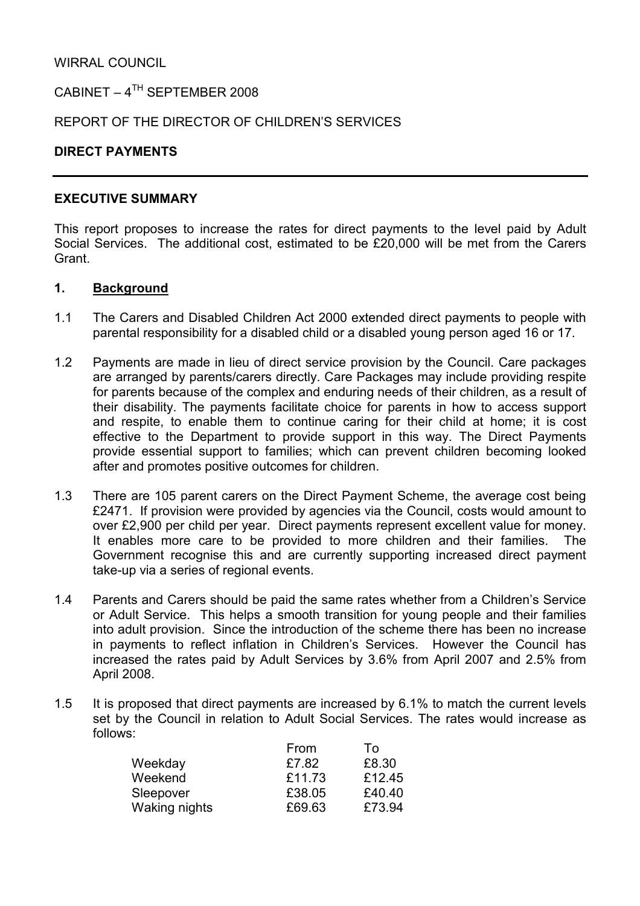WIRRAL COUNCIL

CABINET –  $4^{TH}$  SEPTEMBER 2008

REPORT OF THE DIRECTOR OF CHILDREN'S SERVICES

## DIRECT PAYMENTS

#### EXECUTIVE SUMMARY

This report proposes to increase the rates for direct payments to the level paid by Adult Social Services. The additional cost, estimated to be £20,000 will be met from the Carers Grant.

#### 1. Background

- 1.1 The Carers and Disabled Children Act 2000 extended direct payments to people with parental responsibility for a disabled child or a disabled young person aged 16 or 17.
- 1.2 Payments are made in lieu of direct service provision by the Council. Care packages are arranged by parents/carers directly. Care Packages may include providing respite for parents because of the complex and enduring needs of their children, as a result of their disability. The payments facilitate choice for parents in how to access support and respite, to enable them to continue caring for their child at home; it is cost effective to the Department to provide support in this way. The Direct Payments provide essential support to families; which can prevent children becoming looked after and promotes positive outcomes for children.
- 1.3 There are 105 parent carers on the Direct Payment Scheme, the average cost being £2471. If provision were provided by agencies via the Council, costs would amount to over £2,900 per child per year. Direct payments represent excellent value for money. It enables more care to be provided to more children and their families. The Government recognise this and are currently supporting increased direct payment take-up via a series of regional events.
- 1.4 Parents and Carers should be paid the same rates whether from a Children's Service or Adult Service. This helps a smooth transition for young people and their families into adult provision. Since the introduction of the scheme there has been no increase in payments to reflect inflation in Children's Services. However the Council has increased the rates paid by Adult Services by 3.6% from April 2007 and 2.5% from April 2008.
- 1.5 It is proposed that direct payments are increased by 6.1% to match the current levels set by the Council in relation to Adult Social Services. The rates would increase as follows:

|               | From   | To     |
|---------------|--------|--------|
| Weekday       | £7.82  | £8.30  |
| Weekend       | £11.73 | £12.45 |
| Sleepover     | £38.05 | £40.40 |
| Waking nights | £69.63 | £73.94 |
|               |        |        |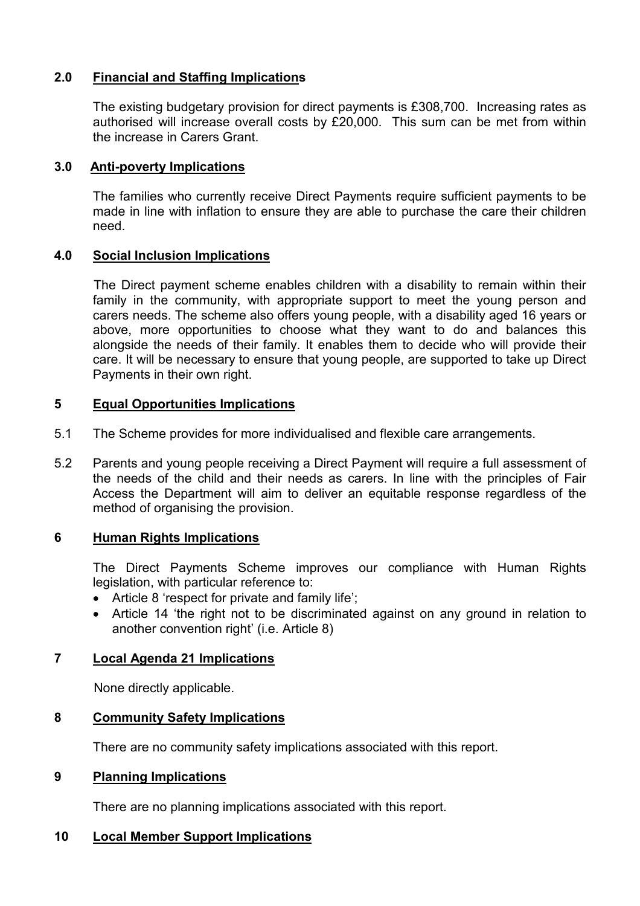# 2.0 Financial and Staffing Implications

 The existing budgetary provision for direct payments is £308,700. Increasing rates as authorised will increase overall costs by £20,000. This sum can be met from within the increase in Carers Grant.

## 3.0 Anti-poverty Implications

The families who currently receive Direct Payments require sufficient payments to be made in line with inflation to ensure they are able to purchase the care their children need.

## 4.0 Social Inclusion Implications

 The Direct payment scheme enables children with a disability to remain within their family in the community, with appropriate support to meet the young person and carers needs. The scheme also offers young people, with a disability aged 16 years or above, more opportunities to choose what they want to do and balances this alongside the needs of their family. It enables them to decide who will provide their care. It will be necessary to ensure that young people, are supported to take up Direct Payments in their own right.

## 5 Equal Opportunities Implications

- 5.1 The Scheme provides for more individualised and flexible care arrangements.
- 5.2 Parents and young people receiving a Direct Payment will require a full assessment of the needs of the child and their needs as carers. In line with the principles of Fair Access the Department will aim to deliver an equitable response regardless of the method of organising the provision.

## 6 Human Rights Implications

 The Direct Payments Scheme improves our compliance with Human Rights legislation, with particular reference to:

- Article 8 'respect for private and family life';
- Article 14 'the right not to be discriminated against on any ground in relation to another convention right' (i.e. Article 8)

## 7 Local Agenda 21 Implications

None directly applicable.

#### 8 Community Safety Implications

There are no community safety implications associated with this report.

## 9 Planning Implications

There are no planning implications associated with this report.

## 10 Local Member Support Implications